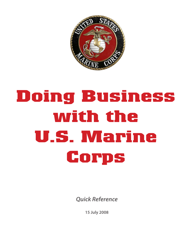

# **Doing Business with the U.S. Marine Corps**

**Quick Reference**

**15 July 2008**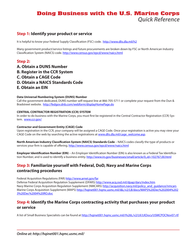# **Doing Business with the U.S. Marine Corps Quick Reference**

#### **Step 1: Identify your product or service**

It is helpful to know your Federal Supply Classification (FSC) code. <http://www.dlis.dla.mil/h2>

Many government product/service listings and future procurements are broken down by FSC or North American Industry Classification System (NAICS) code. <http://www.census.gov/epcd/www/naics.html>

#### **Step 2:**

- **A. Obtain a DUNS Number**
- **B. Register in the CCR System**
- **C. Obtain a CAGE Code**
- **D. Obtain a NAICS Standards Code**
- **E. Obtain an EIN**

#### **Data Universal Numbering System (DUNS) Number**

Call the government dedicated, DUNS number self-request line at 866-705-5711 or complete your request from the Dun & Bradstreet website. <http://fedgov.dnb.com/webform/displayHomePage.do>

#### **CENTRAL CONTRACTOR REGISTRATION (CCR) SYSTEM**

In order to do business with the Marine Corps, you must first be registered in the Central Contractor Registration (CCR) System. <www.ccr.gov/>

#### **Contractor and Government Entity (CAGE) Code**

Upon registration in the CCR, your company will be assigned a CAGE Code. Once your registration is active you may view your CAGE Code on the web by searching the active registrations at [www.dlis.dla.mil/cage\\_welcome.asp](www.dlis.dla.mil/cage_welcome.asp).

**North American Industry Classification System (NAICS) Standards Code** – NAICS codes classify the type of products or services your firm is capable of offering.<http://www.census.gov/epcd/www/naics.html>

**Employer Identification Number (EIN)** – An Employer Identification Number (EIN) is also known as a Federal Tax Identification Number, and is used to identify a business entity. <http://www.irs.gov/businesses/small/article/0,,id=102767,00.html>

#### **Step 3: Familiarize yourself with Federal, DoD, Navy and Marine Corps contracting procedures**

Federal Acquisition Regulations (FAR) <http://www.arnet.gov/far>

Defense Federal Acquisition Regulation Supplement (DFARS) <http://www.acq.osd.mil/dpap/dars/index.htm> Navy Marine Corps Acquisition Regulation Supplement (NMCARS) [http://acquisition.navy.mil/policy\\_and\\_guidance/nmcars](http://acquisition.navy.mil/policy_and_guidance/nmcars) Marine Corps Acquisition Supplement (MAPS) [http://hqinet001.hqmc.usmc.mil/i&L/v2/LB/docs/MAPS%20Dec%202004%202](http://hqinet001.hqmc.usmc.mil/i&L/v2/LB/docs/MAPS%20Dec%202004%2023%20Dec%2004%20RO.doc) [3%20Dec%2004%20RO.doc](http://hqinet001.hqmc.usmc.mil/i&L/v2/LB/docs/MAPS%20Dec%202004%2023%20Dec%2004%20RO.doc)

## **Step 4: Identify the Marine Corps contracting activity that purchases your product or service**

A list of Small Business Specialists can be found at [http://hqinet001.hqmc.usmc.mil/i%26L/v2/LK/LKDocs/USMCPOCNov07.rtf.](http://hqinet001.hqmc.usmc.mil/i%26L/v2/LK/LKDocs/USMCPOCNov07.rtf)